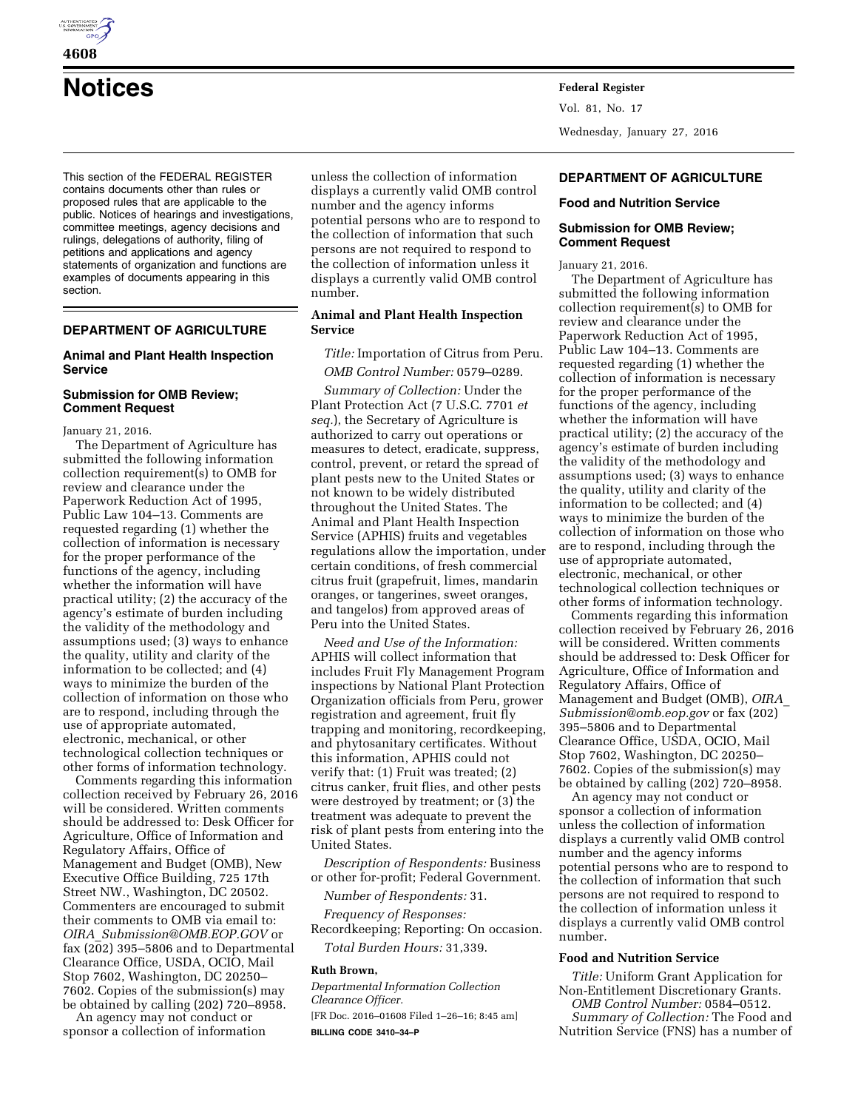

**Notices Federal Register**

This section of the FEDERAL REGISTER contains documents other than rules or proposed rules that are applicable to the public. Notices of hearings and investigations, committee meetings, agency decisions and rulings, delegations of authority, filing of petitions and applications and agency statements of organization and functions are examples of documents appearing in this section.

# **DEPARTMENT OF AGRICULTURE**

## **Animal and Plant Health Inspection Service**

### **Submission for OMB Review; Comment Request**

January 21, 2016.

The Department of Agriculture has submitted the following information collection requirement(s) to OMB for review and clearance under the Paperwork Reduction Act of 1995, Public Law 104–13. Comments are requested regarding (1) whether the collection of information is necessary for the proper performance of the functions of the agency, including whether the information will have practical utility; (2) the accuracy of the agency's estimate of burden including the validity of the methodology and assumptions used; (3) ways to enhance the quality, utility and clarity of the information to be collected; and (4) ways to minimize the burden of the collection of information on those who are to respond, including through the use of appropriate automated, electronic, mechanical, or other technological collection techniques or other forms of information technology.

Comments regarding this information collection received by February 26, 2016 will be considered. Written comments should be addressed to: Desk Officer for Agriculture, Office of Information and Regulatory Affairs, Office of Management and Budget (OMB), New Executive Office Building, 725 17th Street NW., Washington, DC 20502. Commenters are encouraged to submit their comments to OMB via email to: *OIRA*\_*[Submission@OMB.EOP.GOV](mailto:OIRA_Submission@OMB.EOP.GOV)* or fax (202) 395–5806 and to Departmental Clearance Office, USDA, OCIO, Mail Stop 7602, Washington, DC 20250– 7602. Copies of the submission(s) may be obtained by calling (202) 720–8958.

An agency may not conduct or sponsor a collection of information unless the collection of information displays a currently valid OMB control number and the agency informs potential persons who are to respond to the collection of information that such persons are not required to respond to the collection of information unless it displays a currently valid OMB control number.

## **Animal and Plant Health Inspection Service**

*Title:* Importation of Citrus from Peru. *OMB Control Number:* 0579–0289.

*Summary of Collection:* Under the Plant Protection Act (7 U.S.C. 7701 *et seq.*), the Secretary of Agriculture is authorized to carry out operations or measures to detect, eradicate, suppress, control, prevent, or retard the spread of plant pests new to the United States or not known to be widely distributed throughout the United States. The Animal and Plant Health Inspection Service (APHIS) fruits and vegetables regulations allow the importation, under certain conditions, of fresh commercial citrus fruit (grapefruit, limes, mandarin oranges, or tangerines, sweet oranges, and tangelos) from approved areas of Peru into the United States.

*Need and Use of the Information:*  APHIS will collect information that includes Fruit Fly Management Program inspections by National Plant Protection Organization officials from Peru, grower registration and agreement, fruit fly trapping and monitoring, recordkeeping, and phytosanitary certificates. Without this information, APHIS could not verify that: (1) Fruit was treated; (2) citrus canker, fruit flies, and other pests were destroyed by treatment; or (3) the treatment was adequate to prevent the risk of plant pests from entering into the United States.

*Description of Respondents:* Business or other for-profit; Federal Government.

*Number of Respondents:* 31. *Frequency of Responses:*  Recordkeeping; Reporting: On occasion. *Total Burden Hours:* 31,339.

### **Ruth Brown,**

*Departmental Information Collection Clearance Officer.*  [FR Doc. 2016–01608 Filed 1–26–16; 8:45 am] **BILLING CODE 3410–34–P** 

Vol. 81, No. 17 Wednesday, January 27, 2016

### **DEPARTMENT OF AGRICULTURE**

#### **Food and Nutrition Service**

## **Submission for OMB Review; Comment Request**

January 21, 2016.

The Department of Agriculture has submitted the following information collection requirement(s) to OMB for review and clearance under the Paperwork Reduction Act of 1995, Public Law 104–13. Comments are requested regarding (1) whether the collection of information is necessary for the proper performance of the functions of the agency, including whether the information will have practical utility; (2) the accuracy of the agency's estimate of burden including the validity of the methodology and assumptions used; (3) ways to enhance the quality, utility and clarity of the information to be collected; and (4) ways to minimize the burden of the collection of information on those who are to respond, including through the use of appropriate automated, electronic, mechanical, or other technological collection techniques or other forms of information technology.

Comments regarding this information collection received by February 26, 2016 will be considered. Written comments should be addressed to: Desk Officer for Agriculture, Office of Information and Regulatory Affairs, Office of Management and Budget (OMB), *[OIRA](mailto:OIRA_Submission@omb.eop.gov)*\_ *[Submission@omb.eop.gov](mailto:OIRA_Submission@omb.eop.gov)* or fax (202) 395–5806 and to Departmental Clearance Office, USDA, OCIO, Mail Stop 7602, Washington, DC 20250– 7602. Copies of the submission(s) may be obtained by calling (202) 720–8958.

An agency may not conduct or sponsor a collection of information unless the collection of information displays a currently valid OMB control number and the agency informs potential persons who are to respond to the collection of information that such persons are not required to respond to the collection of information unless it displays a currently valid OMB control number.

#### **Food and Nutrition Service**

*Title:* Uniform Grant Application for Non-Entitlement Discretionary Grants. *OMB Control Number:* 0584–0512.

*Summary of Collection:* The Food and Nutrition Service (FNS) has a number of